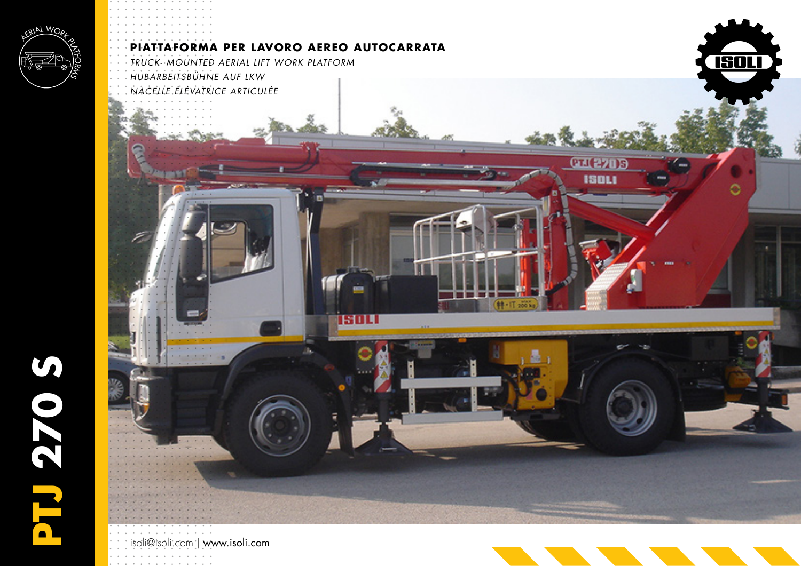